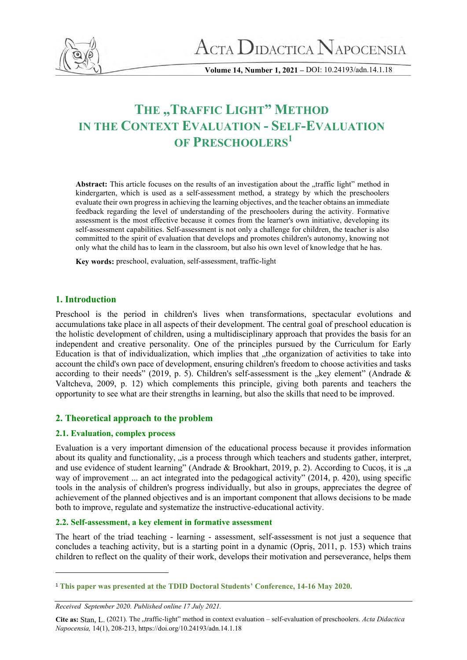

**Volume 14, Number 1, 2021 –** DOI: 10.24193/adn.14.1.18

# **THE "TRAFFIC LIGHT" METHOD IN THE CONTEXT EVALUATION - SELF-EVALUATION OF PRESCHOOLERS<sup>1</sup>**

Abstract: This article focuses on the results of an investigation about the "traffic light" method in kindergarten, which is used as a self-assessment method, a strategy by which the preschoolers evaluate their own progress in achieving the learning objectives, and the teacher obtains an immediate feedback regarding the level of understanding of the preschoolers during the activity*.* Formative assessment is the most effective because it comes from the learner's own initiative, developing its self-assessment capabilities. Self-assessment is not only a challenge for children, the teacher is also committed to the spirit of evaluation that develops and promotes children's autonomy, knowing not only what the child has to learn in the classroom, but also his own level of knowledge that he has.

**Key words:** preschool, evaluation, self-assessment, traffic-light

#### **1. Introduction**

Preschool is the period in children's lives when transformations, spectacular evolutions and accumulations take place in all aspects of their development. The central goal of preschool education is the holistic development of children, using a multidisciplinary approach that provides the basis for an independent and creative personality. One of the principles pursued by the Curriculum for Early Education is that of individualization, which implies that the organization of activities to take into account the child's own pace of development, ensuring children's freedom to choose activities and tasks according to their needs" (2019, p. 5). Children's self-assessment is the "key element" (Andrade  $\&$ Valtcheva, 2009, p. 12) which complements this principle, giving both parents and teachers the opportunity to see what are their strengths in learning, but also the skills that need to be improved.

#### **2. Theoretical approach to the problem**

#### **2.1. Evaluation, complex process**

Evaluation is a very important dimension of the educational process because it provides information about its quality and functionality, "is a process through which teachers and students gather, interpret, and use evidence of student learning" (Andrade & Brookhart, 2019, p. 2). According to Cucos, it is  $\alpha$ way of improvement ... an act integrated into the pedagogical activity" (2014, p. 420), using specific tools in the analysis of children's progress individually, but also in groups, appreciates the degree of achievement of the planned objectives and is an important component that allows decisions to be made both to improve, regulate and systematize the instructive-educational activity.

#### **2.2. Self-assessment, a key element in formative assessment**

The heart of the triad teaching - learning - assessment, self-assessment is not just a sequence that concludes a teaching activity, but is a starting point in a dynamic (Opriș, 2011, p. 153) which trains children to reflect on the quality of their work, develops their motivation and perseverance, helps them

<sup>1</sup> **This paper was presented at the TDID Doctoral Students' Conference, 14-16 May 2020.**

*Received September 2020. Published online 17 July 2021.*

Cite as: Stan, L. (2021). The "traffic-light" method in context evaluation – self-evaluation of preschoolers. *Acta Didactica Napocensia,* 14(1), 208-213, https://doi.org/10.24193/adn.14.1.18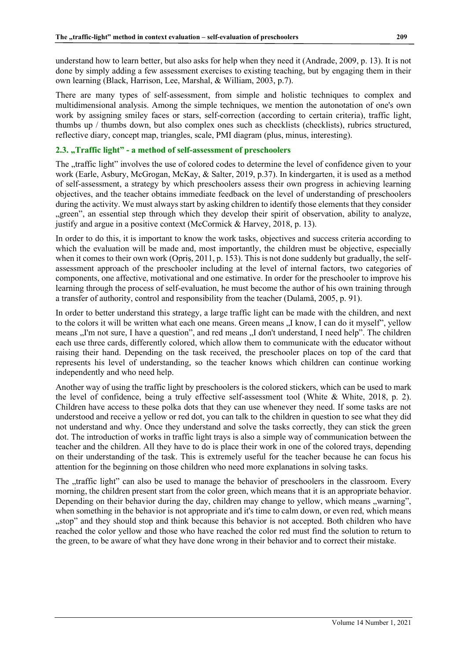understand how to learn better, but also asks for help when they need it (Andrade, 2009, p. 13). It is not done by simply adding a few assessment exercises to existing teaching, but by engaging them in their own learning (Black, Harrison, Lee, Marshal, & William, 2003, p.7).

There are many types of self-assessment, from simple and holistic techniques to complex and multidimensional analysis. Among the simple techniques, we mention the autonotation of one's own work by assigning smiley faces or stars, self-correction (according to certain criteria), traffic light, thumbs up / thumbs down, but also complex ones such as checklists (checklists), rubrics structured, reflective diary, concept map, triangles, scale, PMI diagram (plus, minus, interesting).

#### 2.3. "Traffic light" - a method of self-assessment of preschoolers

The "traffic light" involves the use of colored codes to determine the level of confidence given to your work (Earle, Asbury, McGrogan, McKay, & Salter, 2019, p.37). In kindergarten, it is used as a method of self-assessment, a strategy by which preschoolers assess their own progress in achieving learning objectives, and the teacher obtains immediate feedback on the level of understanding of preschoolers during the activity. We must always start by asking children to identify those elements that they consider "green", an essential step through which they develop their spirit of observation, ability to analyze, justify and argue in a positive context (McCormick & Harvey, 2018, p. 13).

In order to do this, it is important to know the work tasks, objectives and success criteria according to which the evaluation will be made and, most importantly, the children must be objective, especially when it comes to their own work (Opriş, 2011, p. 153). This is not done suddenly but gradually, the selfassessment approach of the preschooler including at the level of internal factors, two categories of components, one affective, motivational and one estimative. In order for the preschooler to improve his learning through the process of self-evaluation, he must become the author of his own training through a transfer of authority, control and responsibility from the teacher (Dulamă, 2005, p. 91).

In order to better understand this strategy, a large traffic light can be made with the children, and next to the colors it will be written what each one means. Green means  $I$  know, I can do it myself", yellow means "I'm not sure, I have a question", and red means "I don't understand, I need help". The children each use three cards, differently colored, which allow them to communicate with the educator without raising their hand. Depending on the task received, the preschooler places on top of the card that represents his level of understanding, so the teacher knows which children can continue working independently and who need help.

Another way of using the traffic light by preschoolers is the colored stickers, which can be used to mark the level of confidence, being a truly effective self-assessment tool (White & White, 2018, p. 2). Children have access to these polka dots that they can use whenever they need. If some tasks are not understood and receive a yellow or red dot, you can talk to the children in question to see what they did not understand and why. Once they understand and solve the tasks correctly, they can stick the green dot. The introduction of works in traffic light trays is also a simple way of communication between the teacher and the children. All they have to do is place their work in one of the colored trays, depending on their understanding of the task. This is extremely useful for the teacher because he can focus his attention for the beginning on those children who need more explanations in solving tasks.

The "traffic light" can also be used to manage the behavior of preschoolers in the classroom. Every morning, the children present start from the color green, which means that it is an appropriate behavior. Depending on their behavior during the day, children may change to yellow, which means "warning", when something in the behavior is not appropriate and it's time to calm down, or even red, which means "stop" and they should stop and think because this behavior is not accepted. Both children who have reached the color yellow and those who have reached the color red must find the solution to return to the green, to be aware of what they have done wrong in their behavior and to correct their mistake.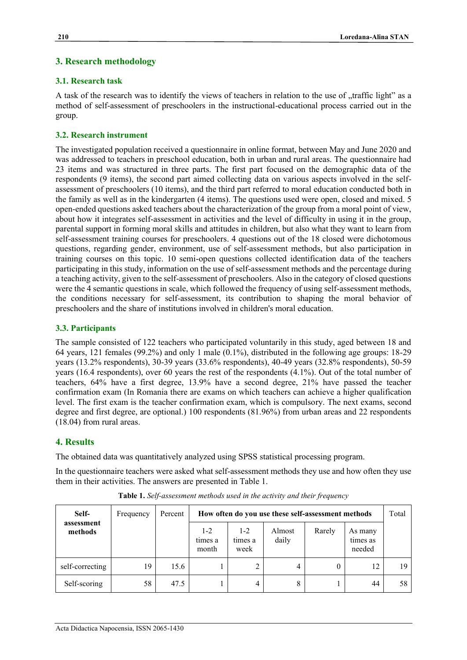## **3. Research methodology**

### **3.1. Research task**

A task of the research was to identify the views of teachers in relation to the use of "traffic light" as a method of self-assessment of preschoolers in the instructional-educational process carried out in the group.

## **3.2. Research instrument**

The investigated population received a questionnaire in online format, between May and June 2020 and was addressed to teachers in preschool education, both in urban and rural areas. The questionnaire had 23 items and was structured in three parts. The first part focused on the demographic data of the respondents (9 items), the second part aimed collecting data on various aspects involved in the selfassessment of preschoolers (10 items), and the third part referred to moral education conducted both in the family as well as in the kindergarten (4 items). The questions used were open, closed and mixed. 5 open-ended questions asked teachers about the characterization of the group from a moral point of view, about how it integrates self-assessment in activities and the level of difficulty in using it in the group, parental support in forming moral skills and attitudes in children, but also what they want to learn from self-assessment training courses for preschoolers. 4 questions out of the 18 closed were dichotomous questions, regarding gender, environment, use of self-assessment methods, but also participation in training courses on this topic. 10 semi-open questions collected identification data of the teachers participating in this study, information on the use of self-assessment methods and the percentage during a teaching activity, given to the self-assessment of preschoolers. Also in the category of closed questions were the 4 semantic questions in scale, which followed the frequency of using self-assessment methods, the conditions necessary for self-assessment, its contribution to shaping the moral behavior of preschoolers and the share of institutions involved in children's moral education.

## **3.3. Participants**

The sample consisted of 122 teachers who participated voluntarily in this study, aged between 18 and 64 years, 121 females (99.2%) and only 1 male (0.1%), distributed in the following age groups: 18-29 years (13.2% respondents), 30-39 years (33.6% respondents), 40-49 years (32.8% respondents), 50-59 years (16.4 respondents), over 60 years the rest of the respondents (4.1%). Out of the total number of teachers, 64% have a first degree, 13.9% have a second degree, 21% have passed the teacher confirmation exam (In Romania there are exams on which teachers can achieve a higher qualification level. The first exam is the teacher confirmation exam, which is compulsory. The next exams, second degree and first degree, are optional.) 100 respondents (81.96%) from urban areas and 22 respondents (18.04) from rural areas.

#### **4. Results**

The obtained data was quantitatively analyzed using SPSS statistical processing program.

In the questionnaire teachers were asked what self-assessment methods they use and how often they use them in their activities. The answers are presented in Table 1.

| Self-                 | Frequency | Percent | How often do you use these self-assessment methods |                          |                 |        |                               | Total |
|-----------------------|-----------|---------|----------------------------------------------------|--------------------------|-----------------|--------|-------------------------------|-------|
| assessment<br>methods |           |         | $1-2$<br>times a<br>month                          | $1-2$<br>times a<br>week | Almost<br>daily | Rarely | As many<br>times as<br>needed |       |
| self-correcting       | 19        | 15.6    |                                                    | ◠                        | 4               |        | 12                            | 19    |
| Self-scoring          | 58        | 47.5    |                                                    | 4                        | 8               |        | 44                            | 58    |

**Table 1.** *Self-assessment methods used in the activity and their frequency*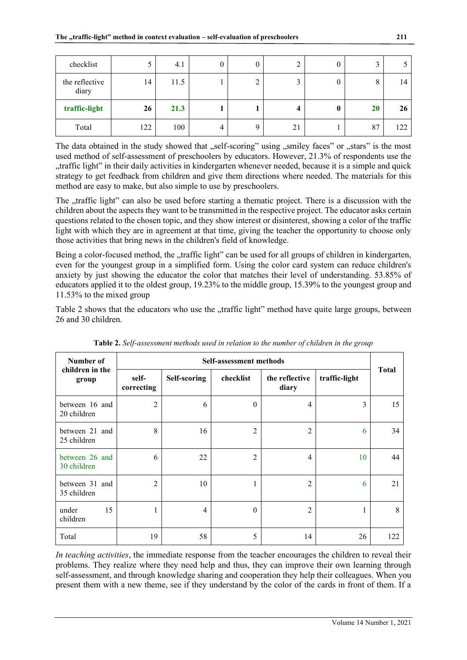| checklist               | J   | 4.1  | 0 | $\boldsymbol{0}$ |    | O        |    |     |
|-------------------------|-----|------|---|------------------|----|----------|----|-----|
| the reflective<br>diary | 14  | 11.5 |   | ◠<br>∠           |    | $\theta$ | 8  | 14  |
| traffic-light           | 26  | 21.3 |   |                  | 4  | 0        | 20 | 26  |
| Total                   | 122 | 100  | 4 | $\mathbf Q$      | 21 |          | 87 | 122 |

The data obtained in the study showed that "self-scoring" using "smiley faces" or "stars" is the most used method of self-assessment of preschoolers by educators. However, 21.3% of respondents use the "traffic light" in their daily activities in kindergarten whenever needed, because it is a simple and quick strategy to get feedback from children and give them directions where needed. The materials for this method are easy to make, but also simple to use by preschoolers.

The "traffic light" can also be used before starting a thematic project. There is a discussion with the children about the aspects they want to be transmitted in the respective project. The educator asks certain questions related to the chosen topic, and they show interest or disinterest, showing a color of the traffic light with which they are in agreement at that time, giving the teacher the opportunity to choose only those activities that bring news in the children's field of knowledge.

Being a color-focused method, the "traffic light" can be used for all groups of children in kindergarten, even for the youngest group in a simplified form. Using the color card system can reduce children's anxiety by just showing the educator the color that matches their level of understanding. 53.85% of educators applied it to the oldest group, 19.23% to the middle group, 15.39% to the youngest group and 11.53% to the mixed group

Table 2 shows that the educators who use the "traffic light" method have quite large groups, between 26 and 30 children.

| Number of                     | Self-assessment methods |              |                |                         |               |              |  |  |  |
|-------------------------------|-------------------------|--------------|----------------|-------------------------|---------------|--------------|--|--|--|
| children in the<br>group      | self-<br>correcting     | Self-scoring | checklist      | the reflective<br>diary | traffic-light | <b>Total</b> |  |  |  |
| between 16 and<br>20 children | $\overline{2}$          | 6            | $\theta$       | $\overline{4}$          | 3             | 15           |  |  |  |
| between 21 and<br>25 children | 8                       | 16           | $\overline{2}$ | $\overline{2}$          | 6             | 34           |  |  |  |
| between 26 and<br>30 children | 6                       | 22           | $\overline{2}$ | 4                       | 10            | 44           |  |  |  |
| between 31 and<br>35 children | $\overline{2}$          | 10           | 1              | 2                       | 6             | 21           |  |  |  |
| 15<br>under<br>children       |                         | 4            | $\theta$       | 2                       | 1             | 8            |  |  |  |
| Total                         | 19                      | 58           | 5              | 14                      | 26            | 122          |  |  |  |

**Table 2.** *Self-assessment methods used in relation to the number of children in the group*

*In teaching activities*, the immediate response from the teacher encourages the children to reveal their problems. They realize where they need help and thus, they can improve their own learning through self-assessment, and through knowledge sharing and cooperation they help their colleagues. When you present them with a new theme, see if they understand by the color of the cards in front of them. If a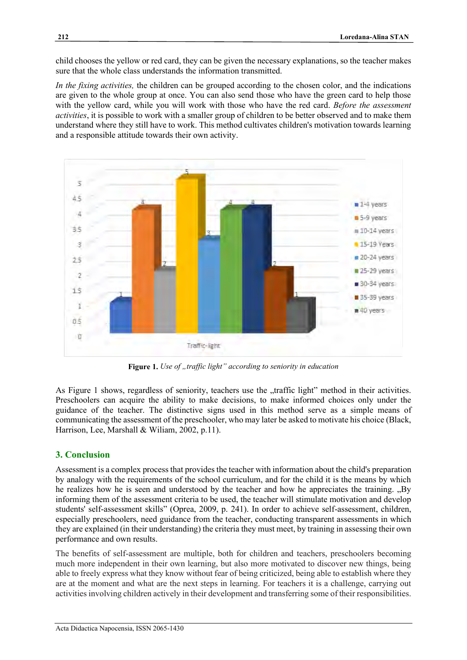child chooses the yellow or red card, they can be given the necessary explanations, so the teacher makes sure that the whole class understands the information transmitted.

*In the fixing activities,* the children can be grouped according to the chosen color, and the indications are given to the whole group at once. You can also send those who have the green card to help those with the yellow card, while you will work with those who have the red card. *Before the assessment activities*, it is possible to work with a smaller group of children to be better observed and to make them understand where they still have to work. This method cultivates children's motivation towards learning and a responsible attitude towards their own activity.



Figure 1. *Use of "traffic light" according to seniority in education* 

As Figure 1 shows, regardless of seniority, teachers use the "traffic light" method in their activities. Preschoolers can acquire the ability to make decisions, to make informed choices only under the guidance of the teacher. The distinctive signs used in this method serve as a simple means of communicating the assessment of the preschooler, who may later be asked to motivate his choice (Black, Harrison, Lee, Marshall & Wiliam, 2002, p.11).

# **3. Conclusion**

Assessment is a complex process that provides the teacher with information about the child's preparation by analogy with the requirements of the school curriculum, and for the child it is the means by which he realizes how he is seen and understood by the teacher and how he appreciates the training. "By informing them of the assessment criteria to be used, the teacher will stimulate motivation and develop students' self-assessment skills" (Oprea, 2009, p. 241). In order to achieve self-assessment, children, especially preschoolers, need guidance from the teacher, conducting transparent assessments in which they are explained (in their understanding) the criteria they must meet, by training in assessing their own performance and own results.

The benefits of self-assessment are multiple, both for children and teachers, preschoolers becoming much more independent in their own learning, but also more motivated to discover new things, being able to freely express what they know without fear of being criticized, being able to establish where they are at the moment and what are the next steps in learning. For teachers it is a challenge, carrying out activities involving children actively in their development and transferring some of their responsibilities.